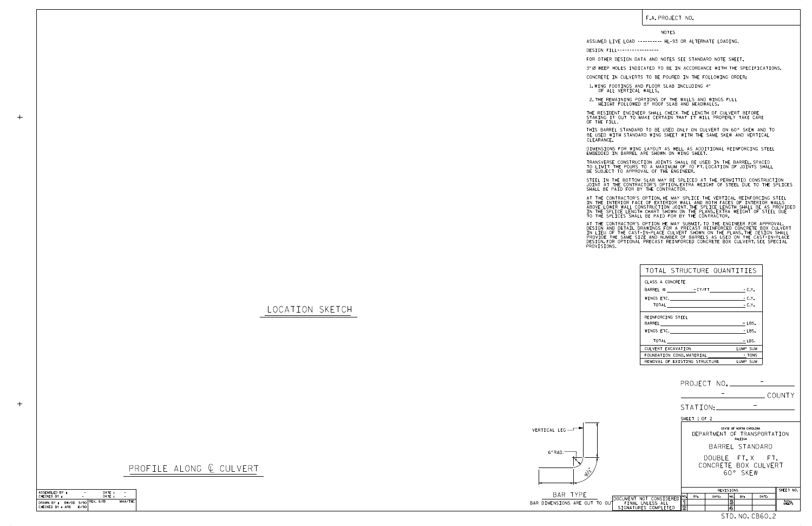

BAR TYPE BAR DIMENSIONS ARE OUT TO

LOCATION SKETCH

 $+$ 



F.A. PROJECT NO.

NOTES

DESIGN FILL-----------------

FOR OTHER DESIGN DATA AND NOTES SEE STANDARD NOTE SHEET.

3" Ø WEEP HOLES INDICATED TO BE IN ACCORDANCE WITH THE SPECIFICATIONS.

CONCRETE IN CULVERTS TO BE POURED IN THE FOLLOWING ORDER:

1.WING FOOTINGS AND FLOOR SLAB INCLUDING 4"<br>OF ALL VERTICAL WALLS.

2.THE REMAINING PORTIONS OF THE WALLS AND WINGS FULL<br>HEIGHT FOLLOWED BY ROOF SLAB AND HEADWALLS.

THE RESIDENT ENGINEER SHALL CHECK THE LENGTH OF CULVERT BEFORE<br>STAKING IT OUT TO MAKE CERTAIN THAT IT WILL PROPERLY TAKE CARE<br>OF THE FILL.

STEEL IN THE BOTTOM SLAB MAY BE SPLICED AT THE PERMITTED CONSTRUCTION JOINT AT THE CONTRACTOR'S OPTION.EXTRA WEIGHT OF STEEL DUE TO THE SPLICES<br>SHALL BE PAID FOR BY THE CONTRACTOR.

IN THE INTERIOR FACE OF EXTERIOR WALL AND BOTH FACES OF INTERIOR WALLS<br>ABOVE LOWER WALL CONSTRUCTION JOINT.THE SPLICE LENGTH SHALL BE AS PROVIDED<br>IN THE SPLICE LENGTH CHART SHOWN ON THE PLANS.EXTRA WEIGHT OF STEEL DUE<br>TO T AT THE CONTRACTOR'S OPTION, HE MAY SPLICE THE VERTICAL REINFORCING STEEL

AT THE CONTRACTOR'S OPTION HE MAY SUBMIT, TO THE ENGINEER FOR APPROVAL,<br>DESIGN AND DETAIL DRAWINGS FOR A PRECAST REINFORCED CONCRETE BOX CULVERT<br>IN LIEU OF THE CAST-IN-PLACE CULVERT SHOWN ON THE PLANS.THE DESIGN SHALL<br>PROV

BE USED WITH STANDARD WING SHEET WITH THE SAME SKEW AND VERTICAL CLEARANCE. THIS BARREL STANDARD TO BE USED ONLY ON CULVERT ON 60° SKEW AND TO

DIMENSIONS FOR WING LAYOUT AS WELL AS ADDITIONAL REINFORCING STEEL<br>EMBEDDED IN BARREL ARE SHOWN ON WING SHEET.

TRANSVERSE CONSTRUCTION JOINTS SHALL BE USED IN THE BARREL,SPACED<br>TO LIMIT THE POURS TO A MAXIMUM OF 70 FT.LOCATION OF JOINTS SHALL<br>BE SUBJECT TO APPROVAL OF THE ENGINEER.

ASSUMED LIVE LOAD ---------- HL-93 OR ALTERNATE LOADING.

| TOTAL STRUCTURE QUANTITIES    |                        |
|-------------------------------|------------------------|
| CLASS A CONCRETE              |                        |
| BARREL @ - CY/FT - C.Y.       |                        |
|                               | $-C.Y.$                |
|                               |                        |
| REINFORCING STEEL             |                        |
|                               | - LBS.                 |
| WINGS ETC.                    | $-LBS.$                |
| <b>TOTAL</b>                  | $-LBS.$                |
| CULVERT EXCAVATION            | LUMP SUM               |
| FOUNDATION COND. MATERIAL     | <b>Example 19 TONS</b> |
| REMOVAL OF EXISTING STRUCTURE | LUMP SUM               |

STD. NO. CB60\_2

CHECKED BY : ASSEMBLED BY : DATE : DATE : –−<br>MAA/THC CHECKED BY : ARB DRAWN BY : BW/DD 9/90 10/90 REV. 6/19 - - -

|                                                    | COUNTY                                                                   |  |  |  |  |
|----------------------------------------------------|--------------------------------------------------------------------------|--|--|--|--|
|                                                    |                                                                          |  |  |  |  |
|                                                    | SHEET 1 OF 2                                                             |  |  |  |  |
|                                                    | STATE OF NORTH CAROLINA<br>DEPARTMENT OF TRANSPORTATION<br>RALEIGH       |  |  |  |  |
|                                                    | BARREL STANDARD                                                          |  |  |  |  |
|                                                    | DOUBLE FT.X FT.<br>CONCRETE BOX CULVERT<br>60° SKFW                      |  |  |  |  |
|                                                    | SHEET NO.<br>REVISIONS                                                   |  |  |  |  |
| DOCUMENT NOT CONSIDERED                            | NO.<br>BY:<br>DATE:<br>DATE:<br>NO.<br>BY:<br>ิจ<br>3<br>TOTAL<br>SHEETS |  |  |  |  |
| FINAL UNLESS ALL<br>. סח כ<br>SIGNATURES COMPLETED | $\overline{2}$<br>4                                                      |  |  |  |  |